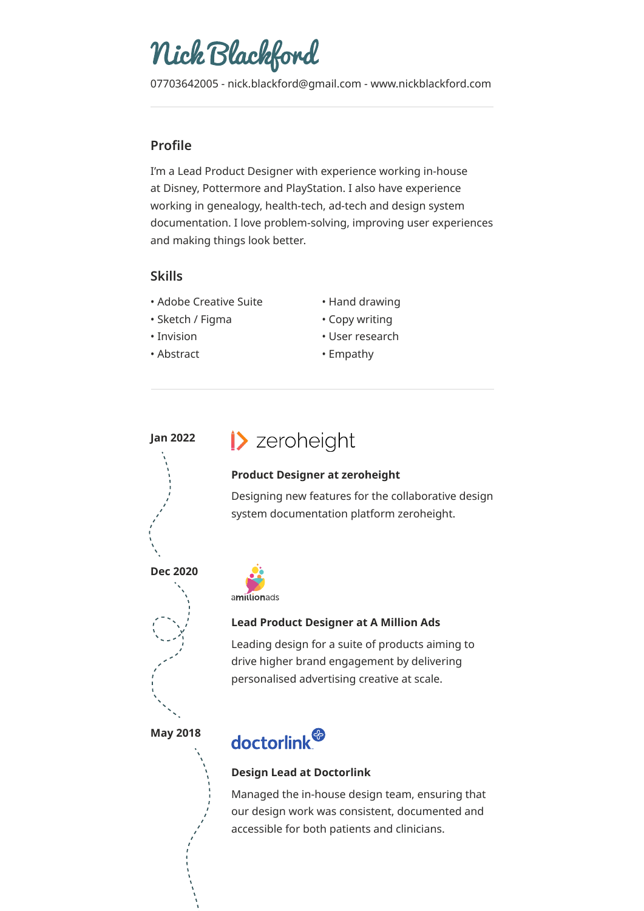# Nick Blackford

07703642005 - nick.blackford@gmail.com - www.nickblackford.com

## **Profile**

I'm a Lead Product Designer with experience working in-house at Disney, Pottermore and PlayStation. I also have experience working in genealogy, health-tech, ad-tech and design system documentation. I love problem-solving, improving user experiences and making things look better.

## **Skills**

- Adobe Creative Suite
- Sketch / Figma
- Invision
- Abstract
- Hand drawing
- Copy writing
- User research
- Empathy

## **Jan 2022**

## >> zeroheight

### **Product Designer at zeroheight**

Designing new features for the collaborative design system documentation platform zeroheight.

**Dec 2020**



## **Lead Product Designer at A Million Ads**

Leading design for a suite of products aiming to drive higher brand engagement by delivering personalised advertising creative at scale.

**May 2018**



### **Design Lead at Doctorlink**

Managed the in-house design team, ensuring that our design work was consistent, documented and accessible for both patients and clinicians.